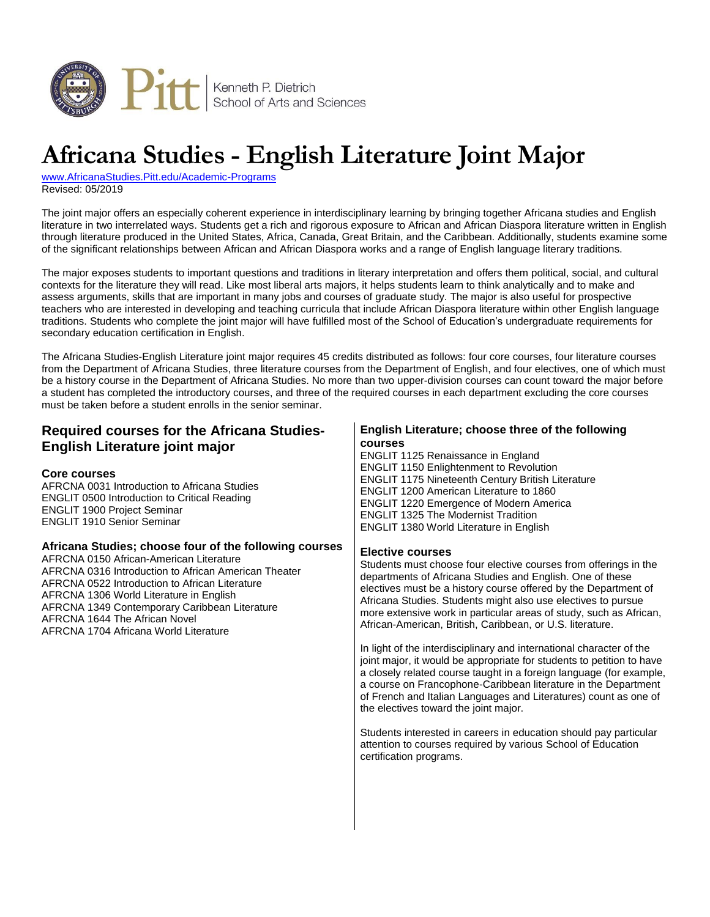

# **Africana Studies - English Literature Joint Major**

[www.AfricanaStudies.Pitt.edu/Academic-Programs](http://www.africanastudies.pitt.edu/academic-programs) Revised: 05/2019

The joint major offers an especially coherent experience in interdisciplinary learning by bringing together Africana studies and English literature in two interrelated ways. Students get a rich and rigorous exposure to African and African Diaspora literature written in English through literature produced in the United States, Africa, Canada, Great Britain, and the Caribbean. Additionally, students examine some of the significant relationships between African and African Diaspora works and a range of English language literary traditions.

The major exposes students to important questions and traditions in literary interpretation and offers them political, social, and cultural contexts for the literature they will read. Like most liberal arts majors, it helps students learn to think analytically and to make and assess arguments, skills that are important in many jobs and courses of graduate study. The major is also useful for prospective teachers who are interested in developing and teaching curricula that include African Diaspora literature within other English language traditions. Students who complete the joint major will have fulfilled most of the School of Education's undergraduate requirements for secondary education certification in English.

The Africana Studies-English Literature joint major requires 45 credits distributed as follows: four core courses, four literature courses from the Department of Africana Studies, three literature courses from the Department of English, and four electives, one of which must be a history course in the Department of Africana Studies. No more than two upper-division courses can count toward the major before a student has completed the introductory courses, and three of the required courses in each department excluding the core courses must be taken before a student enrolls in the senior seminar.

#### **Required courses for the Africana Studies-English Literature joint major Core courses** AFRCNA 0031 Introduction to Africana Studies ENGLIT 0500 Introduction to Critical Reading ENGLIT 1900 Project Seminar ENGLIT 1910 Senior Seminar **Africana Studies; choose four of the following courses** AFRCNA 0150 African-American Literature AFRCNA 0316 Introduction to African American Theater AFRCNA 0522 Introduction to African Literature AFRCNA 1306 World Literature in English AFRCNA 1349 Contemporary Caribbean Literature AFRCNA 1644 The African Novel AFRCNA 1704 Africana World Literature **English Literature; choose three of the following courses** ENGLIT 1125 Renaissance in England ENGLIT 1150 Enlightenment to Revolution ENGLIT 1175 Nineteenth Century British Literature ENGLIT 1200 American Literature to 1860 ENGLIT 1220 Emergence of Modern America ENGLIT 1325 The Modernist Tradition ENGLIT 1380 World Literature in English **Elective courses** Students must choose four elective courses from offerings in the departments of Africana Studies and English. One of these electives must be a history course offered by the Department of Africana Studies. Students might also use electives to pursue more extensive work in particular areas of study, such as African, African-American, British, Caribbean, or U.S. literature. In light of the interdisciplinary and international character of the joint major, it would be appropriate for students to petition to have a closely related course taught in a foreign language (for example, a course on Francophone-Caribbean literature in the Department of French and Italian Languages and Literatures) count as one of the electives toward the joint major. Students interested in careers in education should pay particular attention to courses required by various School of Education certification programs.